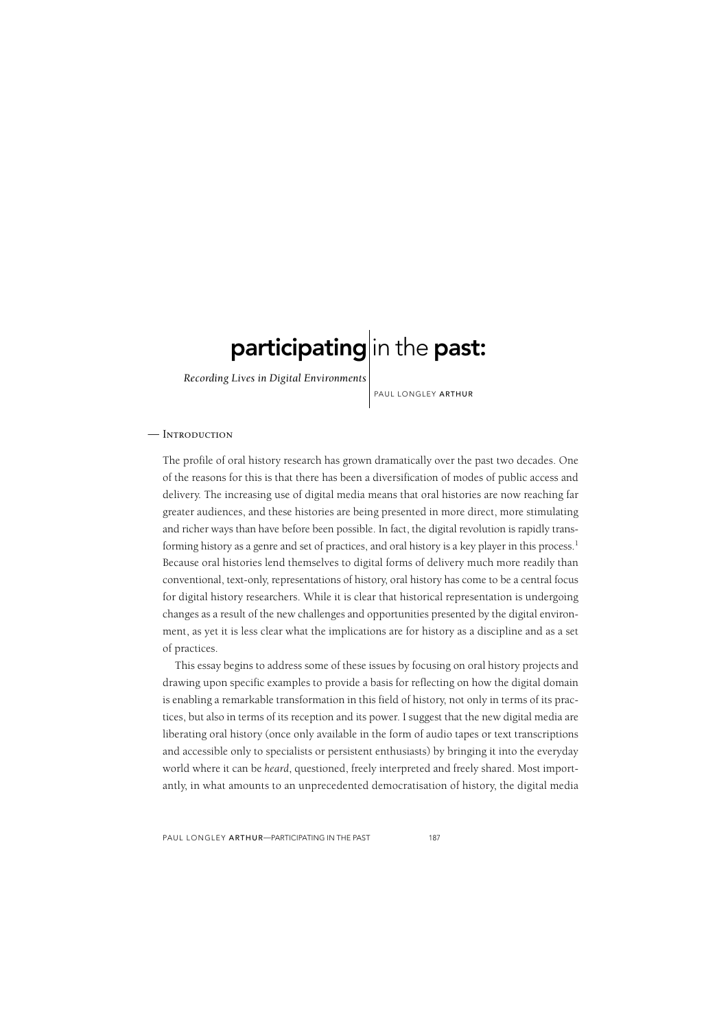# participating in the past:

*Recording Lives in Digital Environments*

PAUL LONGLEY ARTHUR

### — Introduction

The profile of oral history research has grown dramatically over the past two decades. One of the reasons for this is that there has been a diversification of modes of public access and delivery. The increasing use of digital media means that oral histories are now reaching far greater audiences, and these histories are being presented in more direct, more stimulating and richer ways than have before been possible. In fact, the digital revolution is rapidly transforming history as a genre and set of practices, and oral history is a key player in this process.<sup>1</sup> Because oral histories lend themselves to digital forms of delivery much more readily than conventional, text-only, representations of history, oral history has come to be a central focus for digital history researchers. While it is clear that historical representation is undergoing changes as a result of the new challenges and opportunities presented by the digital environment, as yet it is less clear what the implications are for history as a discipline and as a set of practices.

This essay begins to address some of these issues by focusing on oral history projects and drawing upon specific examples to provide a basis for reflecting on how the digital domain is enabling a remarkable transformation in this field of history, not only in terms of its practices, but also in terms of its reception and its power. I suggest that the new digital media are liberating oral history (once only available in the form of audio tapes or text transcriptions and accessible only to specialists or persistent enthusiasts) by bringing it into the everyday world where it can be *heard*, questioned, freely interpreted and freely shared. Most importantly, in what amounts to an unprecedented democratisation of history, the digital media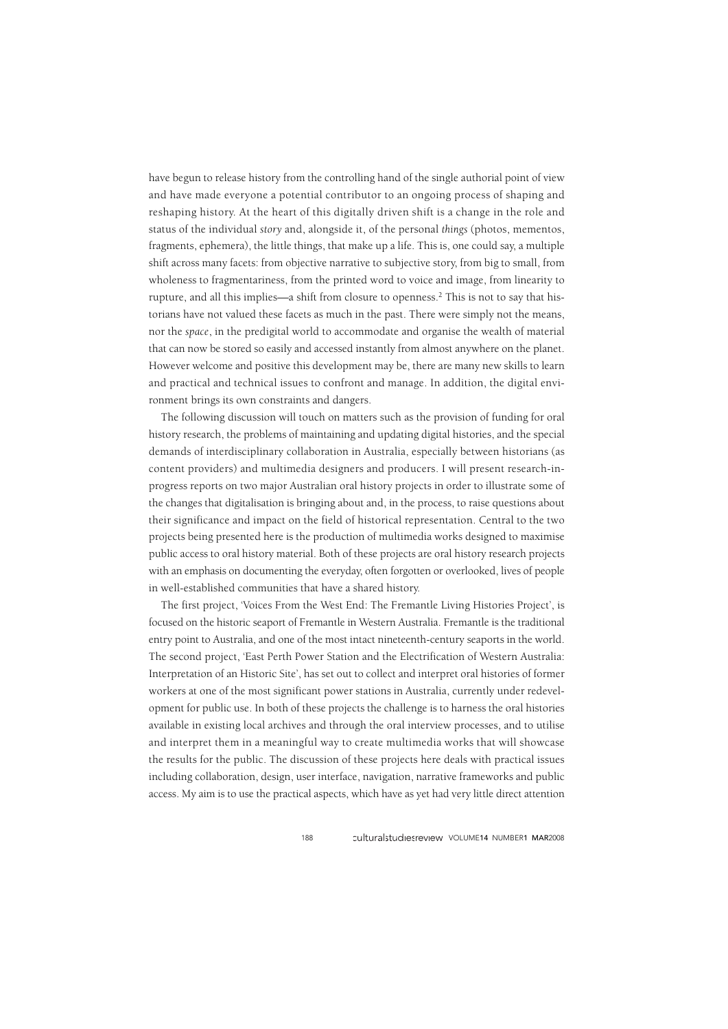have begun to release history from the controlling hand of the single authorial point of view and have made everyone a potential contributor to an ongoing process of shaping and reshaping history. At the heart of this digitally driven shift is a change in the role and status of the individual *story* and, alongside it, of the personal *things* (photos, mementos, fragments, ephemera), the little things, that make up a life. This is, one could say, a multiple shift across many facets: from objective narrative to subjective story, from big to small, from wholeness to fragmentariness, from the printed word to voice and image, from linearity to rupture, and all this implies—a shift from closure to openness.2 This is not to say that historians have not valued these facets as much in the past. There were simply not the means, nor the *space*, in the predigital world to accommodate and organise the wealth of material that can now be stored so easily and accessed instantly from almost anywhere on the planet. However welcome and positive this development may be, there are many new skills to learn and practical and technical issues to confront and manage. In addition, the digital environment brings its own constraints and dangers.

The following discussion will touch on matters such as the provision of funding for oral history research, the problems of maintaining and updating digital histories, and the special demands of interdisciplinary collaboration in Australia, especially between historians (as content providers) and multimedia designers and producers. I will present research-inprogress reports on two major Australian oral history projects in order to illustrate some of the changes that digitalisation is bringing about and, in the process, to raise questions about their significance and impact on the field of historical representation. Central to the two projects being presented here is the production of multimedia works designed to maximise public access to oral history material. Both of these projects are oral history research projects with an emphasis on documenting the everyday, often forgotten or overlooked, lives of people in well-established communities that have a shared history.

The first project, 'Voices From the West End: The Fremantle Living Histories Project', is focused on the historic seaport of Fremantle in Western Australia. Fremantle is the traditional entry point to Australia, and one of the most intact nineteenth-century seaports in the world. The second project, 'East Perth Power Station and the Electrification of Western Australia: Interpretation of an Historic Site', has set out to collect and interpret oral histories of former workers at one of the most significant power stations in Australia, currently under redevelopment for public use. In both of these projects the challenge is to harness the oral histories available in existing local archives and through the oral interview processes, and to utilise and interpret them in a meaningful way to create multimedia works that will showcase the results for the public. The discussion of these projects here deals with practical issues including collaboration, design, user interface, navigation, narrative frameworks and public access. My aim is to use the practical aspects, which have as yet had very little direct attention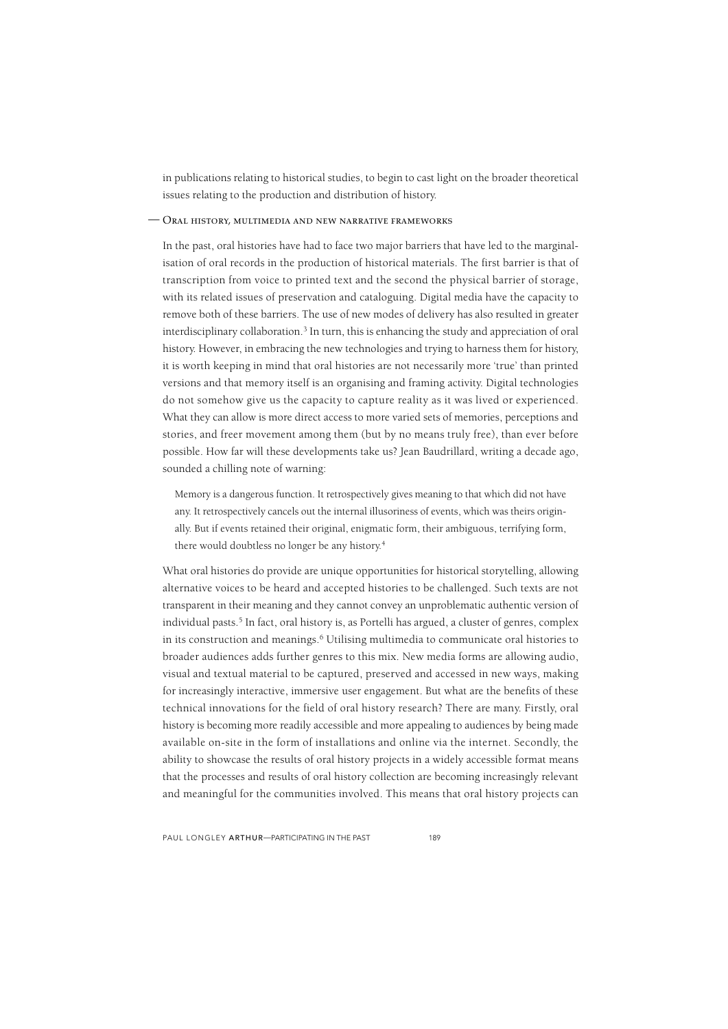in publications relating to historical studies, to begin to cast light on the broader theoretical issues relating to the production and distribution of history.

## Oral history, multimedia and new narrative frameworks —

In the past, oral histories have had to face two major barriers that have led to the marginalisation of oral records in the production of historical materials. The first barrier is that of transcription from voice to printed text and the second the physical barrier of storage, with its related issues of preservation and cataloguing. Digital media have the capacity to remove both of these barriers. The use of new modes of delivery has also resulted in greater interdisciplinary collaboration.3 In turn, this is enhancing the study and appreciation of oral history. However, in embracing the new technologies and trying to harness them for history, it is worth keeping in mind that oral histories are not necessarily more 'true' than printed versions and that memory itself is an organising and framing activity. Digital technologies do not somehow give us the capacity to capture reality as it was lived or experienced. What they can allow is more direct access to more varied sets of memories, perceptions and stories, and freer movement among them (but by no means truly free), than ever before possible. How far will these developments take us? Jean Baudrillard, writing a decade ago, sounded a chilling note of warning:

Memory is a dangerous function. It retrospectively gives meaning to that which did not have any. It retrospectively cancels out the internal illusoriness of events, which was theirs originally. But if events retained their original, enigmatic form, their ambiguous, terrifying form, there would doubtless no longer be any history.4

What oral histories do provide are unique opportunities for historical storytelling, allowing alternative voices to be heard and accepted histories to be challenged. Such texts are not transparent in their meaning and they cannot convey an unproblematic authentic version of individual pasts.<sup>5</sup> In fact, oral history is, as Portelli has argued, a cluster of genres, complex in its construction and meanings.<sup>6</sup> Utilising multimedia to communicate oral histories to broader audiences adds further genres to this mix. New media forms are allowing audio, visual and textual material to be captured, preserved and accessed in new ways, making for increasingly interactive, immersive user engagement. But what are the benefits of these technical innovations for the field of oral history research? There are many. Firstly, oral history is becoming more readily accessible and more appealing to audiences by being made available on-site in the form of installations and online via the internet. Secondly, the ability to showcase the results of oral history projects in a widely accessible format means that the processes and results of oral history collection are becoming increasingly relevant and meaningful for the communities involved. This means that oral history projects can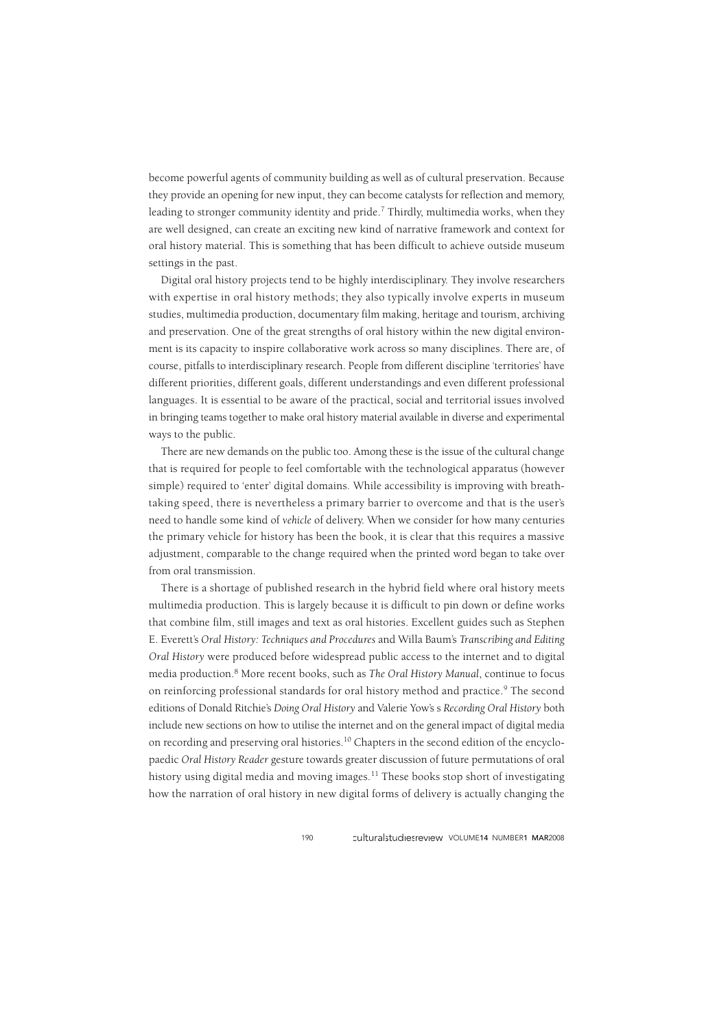become powerful agents of community building as well as of cultural preservation. Because they provide an opening for new input, they can become catalysts for reflection and memory, leading to stronger community identity and pride.<sup>7</sup> Thirdly, multimedia works, when they are well designed, can create an exciting new kind of narrative framework and context for oral history material. This is something that has been difficult to achieve outside museum settings in the past.

Digital oral history projects tend to be highly interdisciplinary. They involve researchers with expertise in oral history methods; they also typically involve experts in museum studies, multimedia production, documentary film making, heritage and tourism, archiving and preservation. One of the great strengths of oral history within the new digital environment is its capacity to inspire collaborative work across so many disciplines. There are, of course, pitfalls to interdisciplinary research. People from different discipline 'territories' have different priorities, different goals, different understandings and even different professional languages. It is essential to be aware of the practical, social and territorial issues involved in bringing teams together to make oral history material available in diverse and experimental ways to the public.

There are new demands on the public too. Among these is the issue of the cultural change that is required for people to feel comfortable with the technological apparatus (however simple) required to 'enter' digital domains. While accessibility is improving with breathtaking speed, there is nevertheless a primary barrier to overcome and that is the user's need to handle some kind of *vehicle* of delivery. When we consider for how many centuries the primary vehicle for history has been the book, it is clear that this requires a massive adjustment, comparable to the change required when the printed word began to take over from oral transmission.

There is a shortage of published research in the hybrid field where oral history meets multimedia production. This is largely because it is difficult to pin down or define works that combine film, still images and text as oral histories. Excellent guides such as Stephen E. Everett's *Oral History: Techniques and Procedures* and Willa Baum's *Transcribing and Editing Oral History* were produced before widespread public access to the internet and to digital media production.8 More recent books, such as *The Oral History Manual*, continue to focus on reinforcing professional standards for oral history method and practice.9 The second editions of Donald Ritchie's *Doing Oral History* and Valerie Yow's s *Recording Oral History* both include new sections on how to utilise the internet and on the general impact of digital media on recording and preserving oral histories.10 Chapters in the second edition of the encyclopaedic *Oral History Reader* gesture towards greater discussion of future permutations of oral history using digital media and moving images.<sup>11</sup> These books stop short of investigating how the narration of oral history in new digital forms of delivery is actually changing the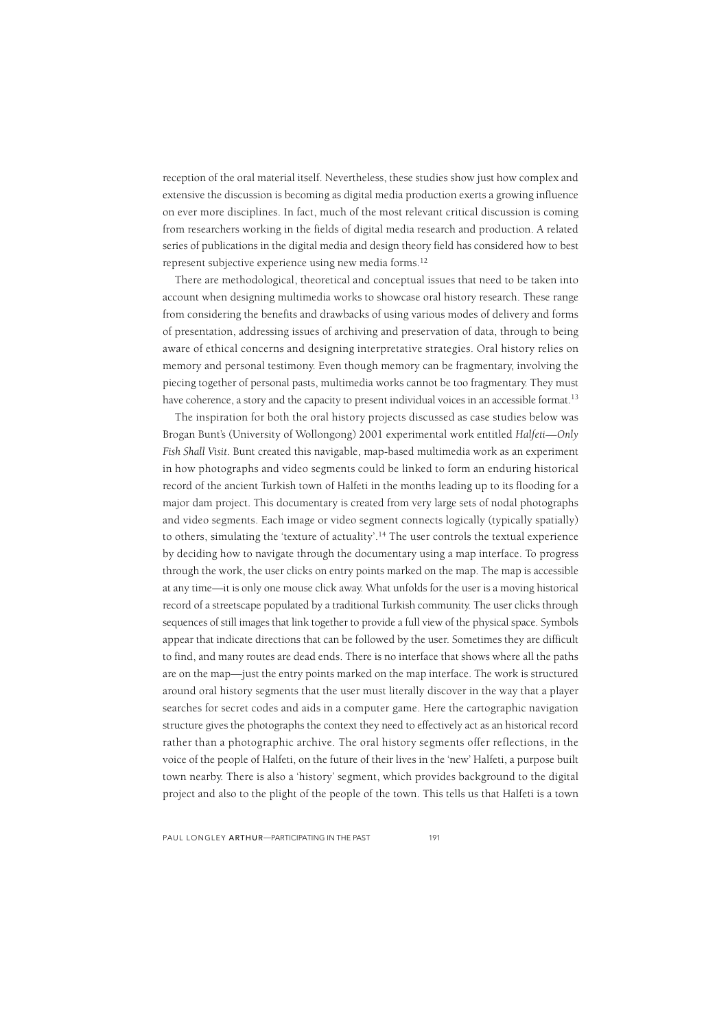reception of the oral material itself. Nevertheless, these studies show just how complex and extensive the discussion is becoming as digital media production exerts a growing influence on ever more disciplines. In fact, much of the most relevant critical discussion is coming from researchers working in the fields of digital media research and production. A related series of publications in the digital media and design theory field has considered how to best represent subjective experience using new media forms.12

There are methodological, theoretical and conceptual issues that need to be taken into account when designing multimedia works to showcase oral history research. These range from considering the benefits and drawbacks of using various modes of delivery and forms of presentation, addressing issues of archiving and preservation of data, through to being aware of ethical concerns and designing interpretative strategies. Oral history relies on memory and personal testimony. Even though memory can be fragmentary, involving the piecing together of personal pasts, multimedia works cannot be too fragmentary. They must have coherence, a story and the capacity to present individual voices in an accessible format.<sup>13</sup>

The inspiration for both the oral history projects discussed as case studies below was Brogan Bunt's (University of Wollongong) 2001 experimental work entitled *Halfeti—Only Fish Shall Visit*. Bunt created this navigable, map-based multimedia work as an experiment in how photographs and video segments could be linked to form an enduring historical record of the ancient Turkish town of Halfeti in the months leading up to its flooding for a major dam project. This documentary is created from very large sets of nodal photographs and video segments. Each image or video segment connects logically (typically spatially) to others, simulating the 'texture of actuality'.<sup>14</sup> The user controls the textual experience by deciding how to navigate through the documentary using a map interface. To progress through the work, the user clicks on entry points marked on the map. The map is accessible at any time—it is only one mouse click away. What unfolds for the user is a moving historical record of a streetscape populated by a traditional Turkish community. The user clicks through sequences of still images that link together to provide a full view of the physical space. Symbols appear that indicate directions that can be followed by the user. Sometimes they are difficult to find, and many routes are dead ends. There is no interface that shows where all the paths are on the map—just the entry points marked on the map interface. The work is structured around oral history segments that the user must literally discover in the way that a player searches for secret codes and aids in a computer game. Here the cartographic navigation structure gives the photographs the context they need to effectively act as an historical record rather than a photographic archive. The oral history segments offer reflections, in the voice of the people of Halfeti, on the future of their lives in the 'new' Halfeti, a purpose built town nearby. There is also a 'history' segment, which provides background to the digital project and also to the plight of the people of the town. This tells us that Halfeti is a town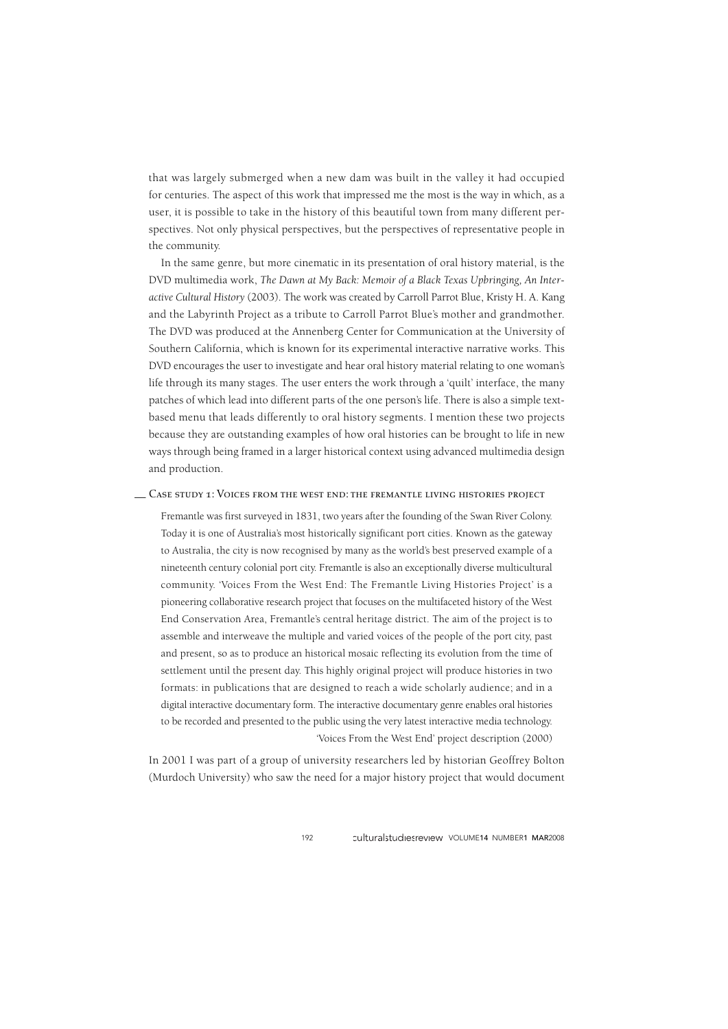that was largely submerged when a new dam was built in the valley it had occupied for centuries. The aspect of this work that impressed me the most is the way in which, as a user, it is possible to take in the history of this beautiful town from many different perspectives. Not only physical perspectives, but the perspectives of representative people in the community.

In the same genre, but more cinematic in its presentation of oral history material, is the DVD multimedia work, *The Dawn at My Back: Memoir of a Black Texas Upbringing, An Interactive Cultural History* (2003). The work was created by Carroll Parrot Blue, Kristy H. A. Kang and the Labyrinth Project as a tribute to Carroll Parrot Blue's mother and grandmother. The DVD was produced at the Annenberg Center for Communication at the University of Southern California, which is known for its experimental interactive narrative works. This DVD encourages the user to investigate and hear oral history material relating to one woman's life through its many stages. The user enters the work through a 'quilt' interface, the many patches of which lead into different parts of the one person's life. There is also a simple textbased menu that leads differently to oral history segments. I mention these two projects because they are outstanding examples of how oral histories can be brought to life in new ways through being framed in a larger historical context using advanced multimedia design and production.

## Case study 1: Voices from the west end: the fremantle living histories project —

Fremantle was first surveyed in 1831, two years after the founding of the Swan River Colony. Today it is one of Australia's most historically significant port cities. Known as the gateway to Australia, the city is now recognised by many as the world's best preserved example of a nineteenth century colonial port city. Fremantle is also an exceptionally diverse multicultural community. 'Voices From the West End: The Fremantle Living Histories Project' is a pioneering collaborative research project that focuses on the multifaceted history of the West End Conservation Area, Fremantle's central heritage district. The aim of the project is to assemble and interweave the multiple and varied voices of the people of the port city, past and present, so as to produce an historical mosaic reflecting its evolution from the time of settlement until the present day. This highly original project will produce histories in two formats: in publications that are designed to reach a wide scholarly audience; and in a digital interactive documentary form. The interactive documentary genre enables oral histories to be recorded and presented to the public using the very latest interactive media technology. 'Voices From the West End' project description (2000)

In 2001 I was part of a group of university researchers led by historian Geoffrey Bolton (Murdoch University) who saw the need for a major history project that would document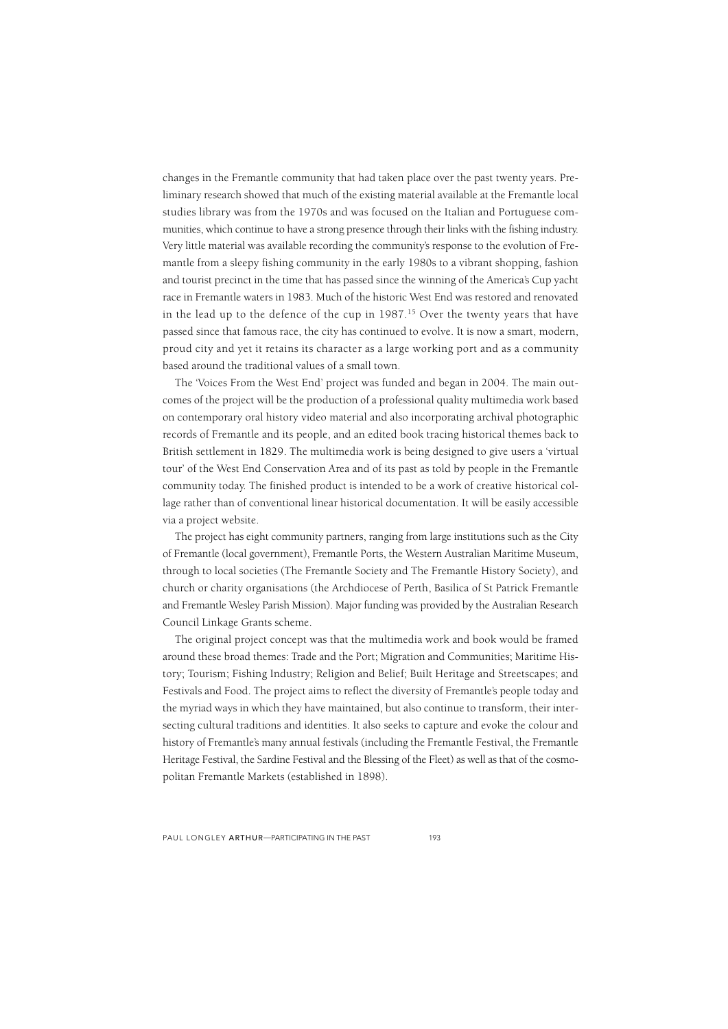changes in the Fremantle community that had taken place over the past twenty years. Preliminary research showed that much of the existing material available at the Fremantle local studies library was from the 1970s and was focused on the Italian and Portuguese communities, which continue to have a strong presence through their links with the fishing industry. Very little material was available recording the community's response to the evolution of Fremantle from a sleepy fishing community in the early 1980s to a vibrant shopping, fashion and tourist precinct in the time that has passed since the winning of the America's Cup yacht race in Fremantle waters in 1983. Much of the historic West End was restored and renovated in the lead up to the defence of the cup in  $1987<sup>15</sup>$  Over the twenty years that have passed since that famous race, the city has continued to evolve. It is now a smart, modern, proud city and yet it retains its character as a large working port and as a community based around the traditional values of a small town.

The 'Voices From the West End' project was funded and began in 2004. The main outcomes of the project will be the production of a professional quality multimedia work based on contemporary oral history video material and also incorporating archival photographic records of Fremantle and its people, and an edited book tracing historical themes back to British settlement in 1829. The multimedia work is being designed to give users a 'virtual tour' of the West End Conservation Area and of its past as told by people in the Fremantle community today. The finished product is intended to be a work of creative historical collage rather than of conventional linear historical documentation. It will be easily accessible via a project website.

The project has eight community partners, ranging from large institutions such as the City of Fremantle (local government), Fremantle Ports, the Western Australian Maritime Museum, through to local societies (The Fremantle Society and The Fremantle History Society), and church or charity organisations (the Archdiocese of Perth, Basilica of St Patrick Fremantle and Fremantle Wesley Parish Mission). Major funding was provided by the Australian Research Council Linkage Grants scheme.

The original project concept was that the multimedia work and book would be framed around these broad themes: Trade and the Port; Migration and Communities; Maritime History; Tourism; Fishing Industry; Religion and Belief; Built Heritage and Streetscapes; and Festivals and Food. The project aims to reflect the diversity of Fremantle's people today and the myriad ways in which they have maintained, but also continue to transform, their intersecting cultural traditions and identities. It also seeks to capture and evoke the colour and history of Fremantle's many annual festivals (including the Fremantle Festival, the Fremantle Heritage Festival, the Sardine Festival and the Blessing of the Fleet) as well as that of the cosmopolitan Fremantle Markets (established in 1898).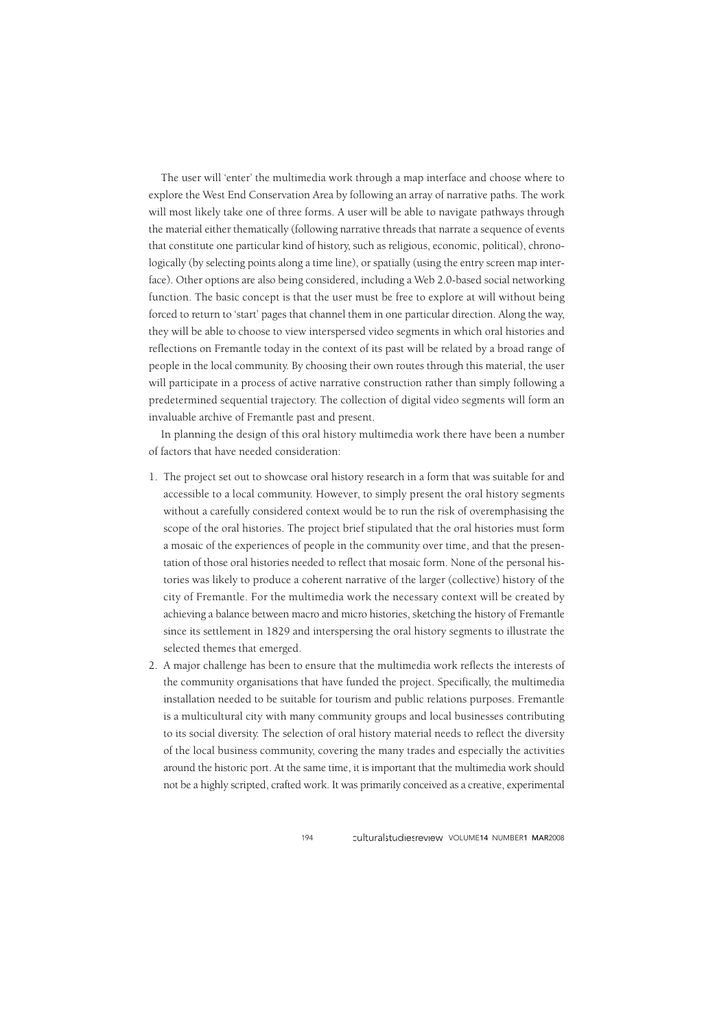The user will 'enter' the multimedia work through a map interface and choose where to explore the West End Conservation Area by following an array of narrative paths. The work will most likely take one of three forms. A user will be able to navigate pathways through the material either thematically (following narrative threads that narrate a sequence of events that constitute one particular kind of history, such as religious, economic, political), chronologically (by selecting points along a time line), or spatially (using the entry screen map interface). Other options are also being considered, including a Web 2.0-based social networking function. The basic concept is that the user must be free to explore at will without being forced to return to 'start' pages that channel them in one particular direction. Along the way, they will be able to choose to view interspersed video segments in which oral histories and reflections on Fremantle today in the context of its past will be related by a broad range of people in the local community. By choosing their own routes through this material, the user will participate in a process of active narrative construction rather than simply following a predetermined sequential trajectory. The collection of digital video segments will form an invaluable archive of Fremantle past and present.

In planning the design of this oral history multimedia work there have been a number of factors that have needed consideration:

- 1. The project set out to showcase oral history research in a form that was suitable for and accessible to a local community. However, to simply present the oral history segments without a carefully considered context would be to run the risk of overemphasising the scope of the oral histories. The project brief stipulated that the oral histories must form a mosaic of the experiences of people in the community over time, and that the presentation of those oral histories needed to reflect that mosaic form. None of the personal histories was likely to produce a coherent narrative of the larger (collective) history of the city of Fremantle. For the multimedia work the necessary context will be created by achieving a balance between macro and micro histories, sketching the history of Fremantle since its settlement in 1829 and interspersing the oral history segments to illustrate the selected themes that emerged.
- 2. A major challenge has been to ensure that the multimedia work reflects the interests of the community organisations that have funded the project. Specifically, the multimedia installation needed to be suitable for tourism and public relations purposes. Fremantle is a multicultural city with many community groups and local businesses contributing to its social diversity. The selection of oral history material needs to reflect the diversity of the local business community, covering the many trades and especially the activities around the historic port. At the same time, it is important that the multimedia work should not be a highly scripted, crafted work. It was primarily conceived as a creative, experimental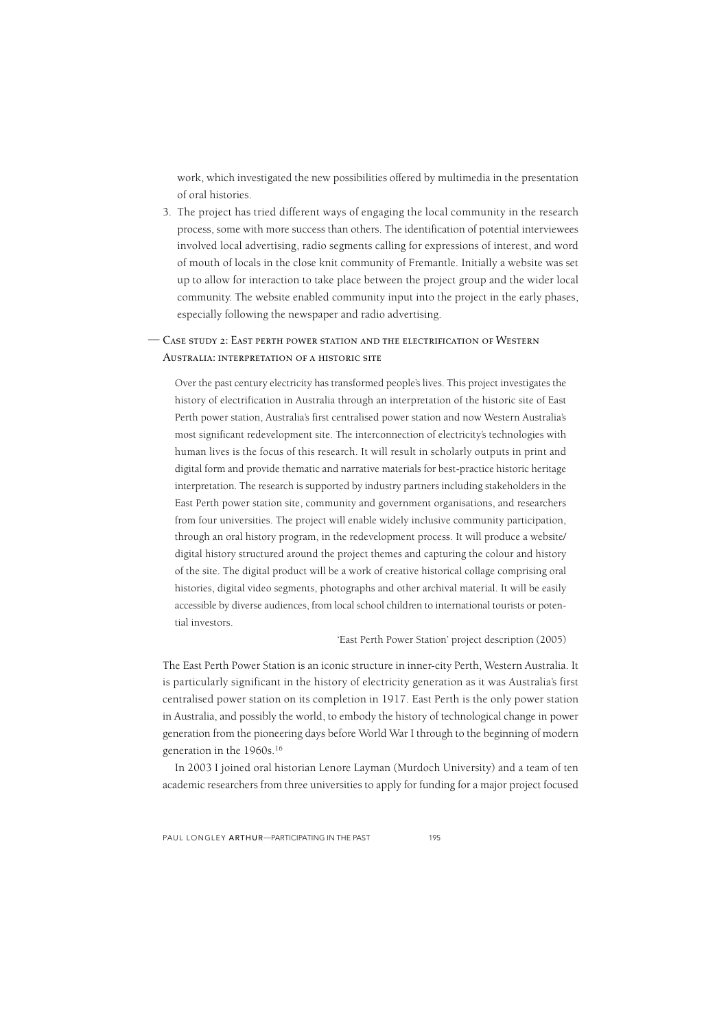work, which investigated the new possibilities offered by multimedia in the presentation of oral histories.

3. The project has tried different ways of engaging the local community in the research process, some with more success than others. The identification of potential interviewees involved local advertising, radio segments calling for expressions of interest, and word of mouth of locals in the close knit community of Fremantle. Initially a website was set up to allow for interaction to take place between the project group and the wider local community. The website enabled community input into the project in the early phases, especially following the newspaper and radio advertising.

## Case study 2: East perth power station and the electrification of Western —Australia: interpretation of a historic site

Over the past century electricity has transformed people's lives. This project investigates the history of electrification in Australia through an interpretation of the historic site of East Perth power station, Australia's first centralised power station and now Western Australia's most significant redevelopment site. The interconnection of electricity's technologies with human lives is the focus of this research. It will result in scholarly outputs in print and digital form and provide thematic and narrative materials for best-practice historic heritage interpretation. The research is supported by industry partners including stakeholders in the East Perth power station site, community and government organisations, and researchers from four universities. The project will enable widely inclusive community participation, through an oral history program, in the redevelopment process. It will produce a website/ digital history structured around the project themes and capturing the colour and history of the site. The digital product will be a work of creative historical collage comprising oral histories, digital video segments, photographs and other archival material. It will be easily accessible by diverse audiences, from local school children to international tourists or potential investors.

#### 'East Perth Power Station' project description (2005)

The East Perth Power Station is an iconic structure in inner-city Perth, Western Australia. It is particularly significant in the history of electricity generation as it was Australia's first centralised power station on its completion in 1917. East Perth is the only power station in Australia, and possibly the world, to embody the history of technological change in power generation from the pioneering days before World War I through to the beginning of modern generation in the 1960s.16

In 2003 I joined oral historian Lenore Layman (Murdoch University) and a team of ten academic researchers from three universities to apply for funding for a major project focused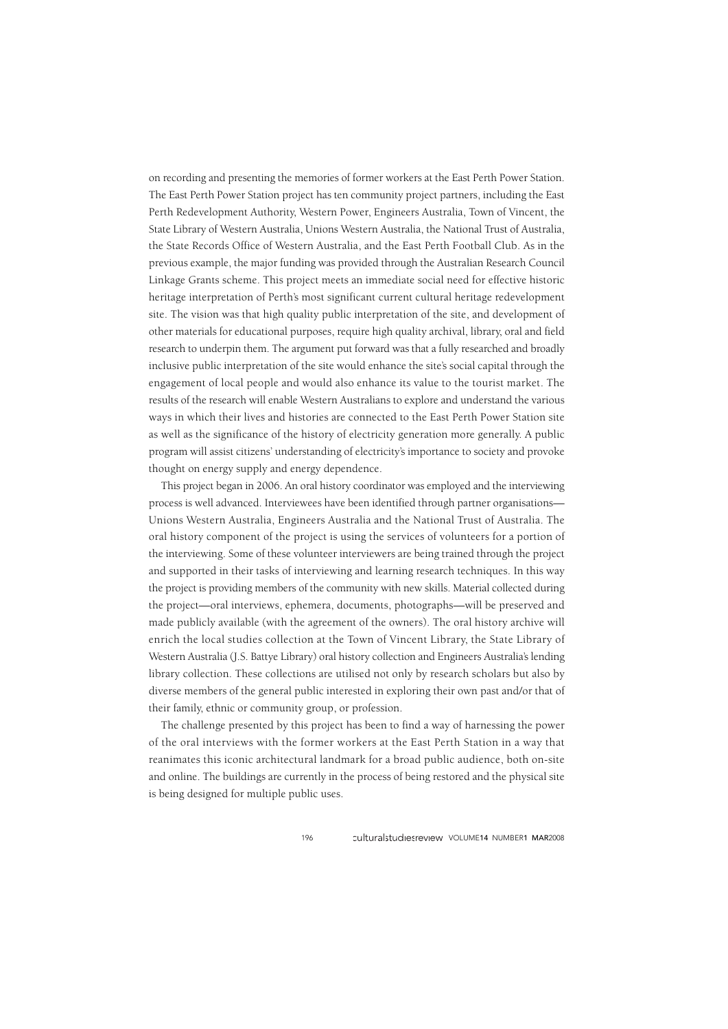on recording and presenting the memories of former workers at the East Perth Power Station. The East Perth Power Station project has ten community project partners, including the East Perth Redevelopment Authority, Western Power, Engineers Australia, Town of Vincent, the State Library of Western Australia, Unions Western Australia, the National Trust of Australia, the State Records Office of Western Australia, and the East Perth Football Club. As in the previous example, the major funding was provided through the Australian Research Council Linkage Grants scheme. This project meets an immediate social need for effective historic heritage interpretation of Perth's most significant current cultural heritage redevelopment site. The vision was that high quality public interpretation of the site, and development of other materials for educational purposes, require high quality archival, library, oral and field research to underpin them. The argument put forward was that a fully researched and broadly inclusive public interpretation of the site would enhance the site's social capital through the engagement of local people and would also enhance its value to the tourist market. The results of the research will enable Western Australians to explore and understand the various ways in which their lives and histories are connected to the East Perth Power Station site as well as the significance of the history of electricity generation more generally. A public program will assist citizens' understanding of electricity's importance to society and provoke thought on energy supply and energy dependence.

This project began in 2006. An oral history coordinator was employed and the interviewing process is well advanced. Interviewees have been identified through partner organisations— Unions Western Australia, Engineers Australia and the National Trust of Australia. The oral history component of the project is using the services of volunteers for a portion of the interviewing. Some of these volunteer interviewers are being trained through the project and supported in their tasks of interviewing and learning research techniques. In this way the project is providing members of the community with new skills. Material collected during the project—oral interviews, ephemera, documents, photographs—will be preserved and made publicly available (with the agreement of the owners). The oral history archive will enrich the local studies collection at the Town of Vincent Library, the State Library of Western Australia (J.S. Battye Library) oral history collection and Engineers Australia's lending library collection. These collections are utilised not only by research scholars but also by diverse members of the general public interested in exploring their own past and/or that of their family, ethnic or community group, or profession.

The challenge presented by this project has been to find a way of harnessing the power of the oral interviews with the former workers at the East Perth Station in a way that reanimates this iconic architectural landmark for a broad public audience, both on-site and online. The buildings are currently in the process of being restored and the physical site is being designed for multiple public uses.

196 Culturalstudiesreview VOLUME14 NUMBER1 MAR2008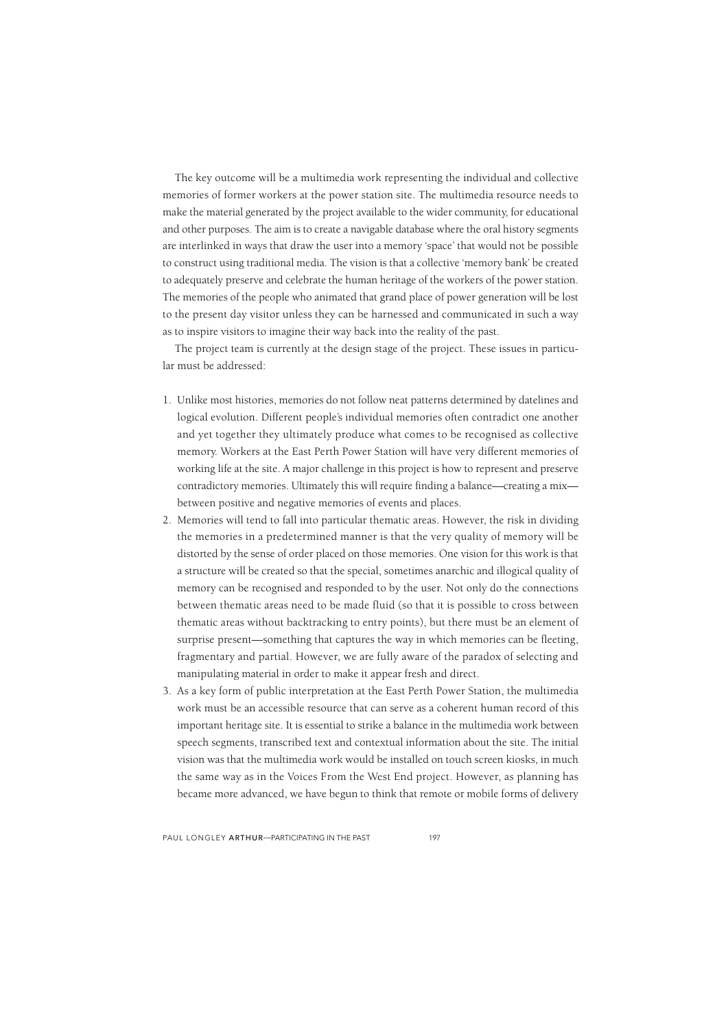The key outcome will be a multimedia work representing the individual and collective memories of former workers at the power station site. The multimedia resource needs to make the material generated by the project available to the wider community, for educational and other purposes. The aim is to create a navigable database where the oral history segments are interlinked in ways that draw the user into a memory 'space' that would not be possible to construct using traditional media. The vision is that a collective 'memory bank' be created to adequately preserve and celebrate the human heritage of the workers of the power station. The memories of the people who animated that grand place of power generation will be lost to the present day visitor unless they can be harnessed and communicated in such a way as to inspire visitors to imagine their way back into the reality of the past.

The project team is currently at the design stage of the project. These issues in particular must be addressed:

- 1. Unlike most histories, memories do not follow neat patterns determined by datelines and logical evolution. Different people's individual memories often contradict one another and yet together they ultimately produce what comes to be recognised as collective memory. Workers at the East Perth Power Station will have very different memories of working life at the site. A major challenge in this project is how to represent and preserve contradictory memories. Ultimately this will require finding a balance—creating a mix between positive and negative memories of events and places.
- 2. Memories will tend to fall into particular thematic areas. However, the risk in dividing the memories in a predetermined manner is that the very quality of memory will be distorted by the sense of order placed on those memories. One vision for this work is that a structure will be created so that the special, sometimes anarchic and illogical quality of memory can be recognised and responded to by the user. Not only do the connections between thematic areas need to be made fluid (so that it is possible to cross between thematic areas without backtracking to entry points), but there must be an element of surprise present—something that captures the way in which memories can be fleeting, fragmentary and partial. However, we are fully aware of the paradox of selecting and manipulating material in order to make it appear fresh and direct.
- 3. As a key form of public interpretation at the East Perth Power Station, the multimedia work must be an accessible resource that can serve as a coherent human record of this important heritage site. It is essential to strike a balance in the multimedia work between speech segments, transcribed text and contextual information about the site. The initial vision was that the multimedia work would be installed on touch screen kiosks, in much the same way as in the Voices From the West End project. However, as planning has became more advanced, we have begun to think that remote or mobile forms of delivery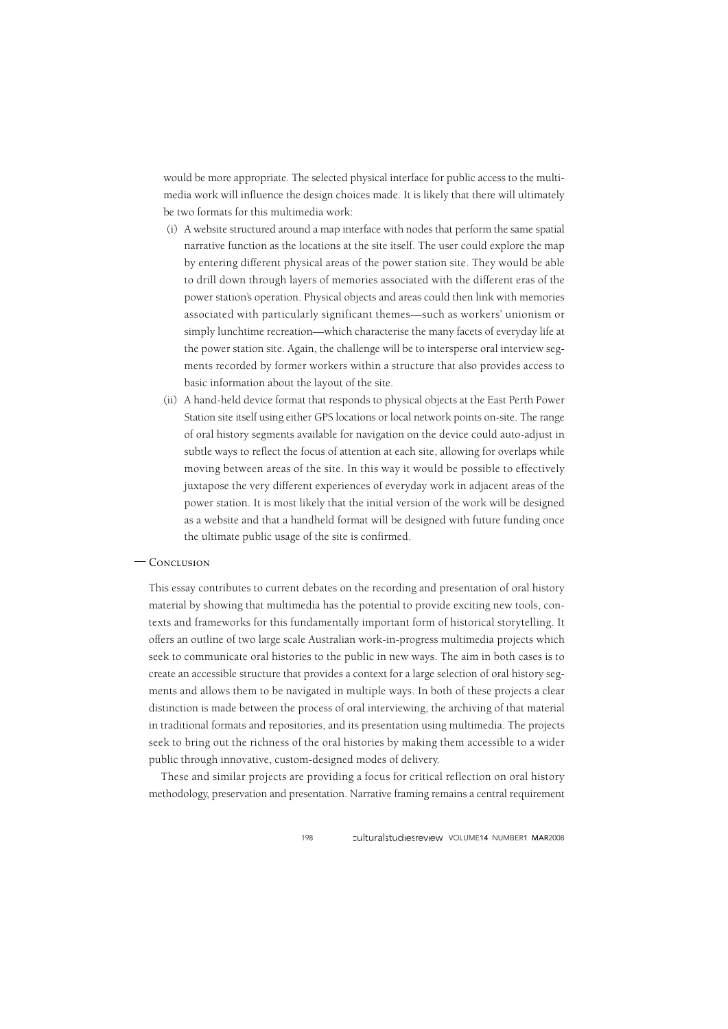would be more appropriate. The selected physical interface for public access to the multimedia work will influence the design choices made. It is likely that there will ultimately be two formats for this multimedia work:

- (i) A website structured around a map interface with nodes that perform the same spatial narrative function as the locations at the site itself. The user could explore the map by entering different physical areas of the power station site. They would be able to drill down through layers of memories associated with the different eras of the power station's operation. Physical objects and areas could then link with memories associated with particularly significant themes—such as workers' unionism or simply lunchtime recreation—which characterise the many facets of everyday life at the power station site. Again, the challenge will be to intersperse oral interview segments recorded by former workers within a structure that also provides access to basic information about the layout of the site.
- (ii) A hand-held device format that responds to physical objects at the East Perth Power Station site itself using either GPS locations or local network points on-site. The range of oral history segments available for navigation on the device could auto-adjust in subtle ways to reflect the focus of attention at each site, allowing for overlaps while moving between areas of the site. In this way it would be possible to effectively juxtapose the very different experiences of everyday work in adjacent areas of the power station. It is most likely that the initial version of the work will be designed as a website and that a handheld format will be designed with future funding once the ultimate public usage of the site is confirmed.

## — CONCLUSION

This essay contributes to current debates on the recording and presentation of oral history material by showing that multimedia has the potential to provide exciting new tools, contexts and frameworks for this fundamentally important form of historical storytelling. It offers an outline of two large scale Australian work-in-progress multimedia projects which seek to communicate oral histories to the public in new ways. The aim in both cases is to create an accessible structure that provides a context for a large selection of oral history segments and allows them to be navigated in multiple ways. In both of these projects a clear distinction is made between the process of oral interviewing, the archiving of that material in traditional formats and repositories, and its presentation using multimedia. The projects seek to bring out the richness of the oral histories by making them accessible to a wider public through innovative, custom-designed modes of delivery.

These and similar projects are providing a focus for critical reflection on oral history methodology, preservation and presentation. Narrative framing remains a central requirement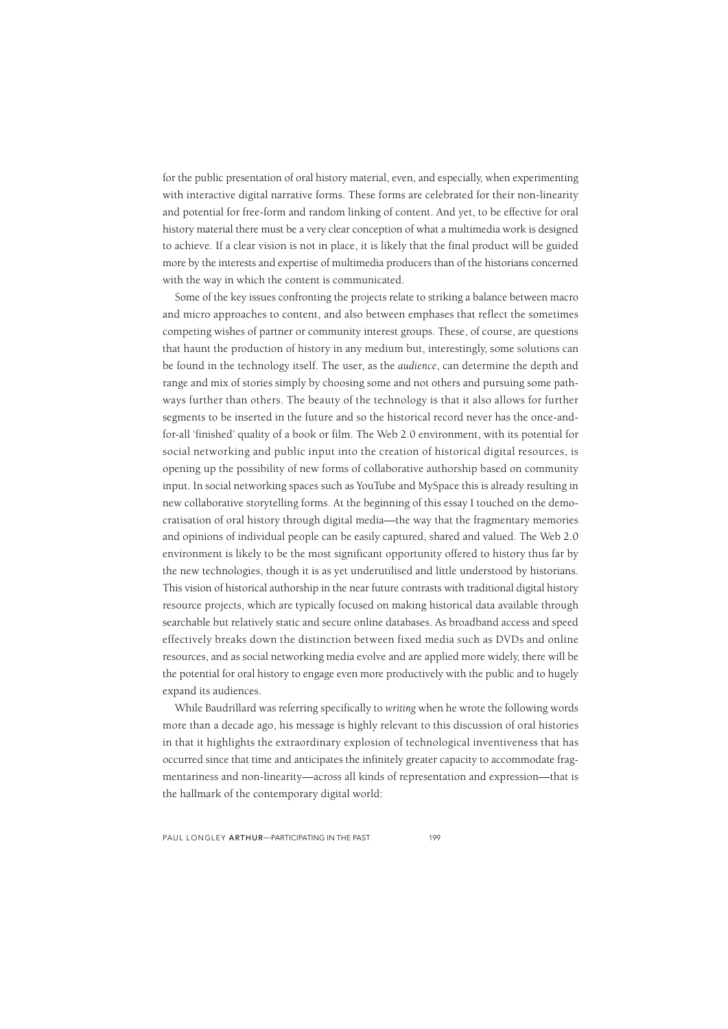for the public presentation of oral history material, even, and especially, when experimenting with interactive digital narrative forms. These forms are celebrated for their non-linearity and potential for free-form and random linking of content. And yet, to be effective for oral history material there must be a very clear conception of what a multimedia work is designed to achieve. If a clear vision is not in place, it is likely that the final product will be guided more by the interests and expertise of multimedia producers than of the historians concerned with the way in which the content is communicated.

Some of the key issues confronting the projects relate to striking a balance between macro and micro approaches to content, and also between emphases that reflect the sometimes competing wishes of partner or community interest groups. These, of course, are questions that haunt the production of history in any medium but, interestingly, some solutions can be found in the technology itself. The user, as the *audience*, can determine the depth and range and mix of stories simply by choosing some and not others and pursuing some pathways further than others. The beauty of the technology is that it also allows for further segments to be inserted in the future and so the historical record never has the once-andfor-all 'finished' quality of a book or film. The Web 2.0 environment, with its potential for social networking and public input into the creation of historical digital resources, is opening up the possibility of new forms of collaborative authorship based on community input. In social networking spaces such as YouTube and MySpace this is already resulting in new collaborative storytelling forms. At the beginning of this essay I touched on the democratisation of oral history through digital media—the way that the fragmentary memories and opinions of individual people can be easily captured, shared and valued. The Web 2.0 environment is likely to be the most significant opportunity offered to history thus far by the new technologies, though it is as yet underutilised and little understood by historians. This vision of historical authorship in the near future contrasts with traditional digital history resource projects, which are typically focused on making historical data available through searchable but relatively static and secure online databases. As broadband access and speed effectively breaks down the distinction between fixed media such as DVDs and online resources, and as social networking media evolve and are applied more widely, there will be the potential for oral history to engage even more productively with the public and to hugely expand its audiences.

While Baudrillard was referring specifically to *writing* when he wrote the following words more than a decade ago, his message is highly relevant to this discussion of oral histories in that it highlights the extraordinary explosion of technological inventiveness that has occurred since that time and anticipates the infinitely greater capacity to accommodate fragmentariness and non-linearity—across all kinds of representation and expression—that is the hallmark of the contemporary digital world: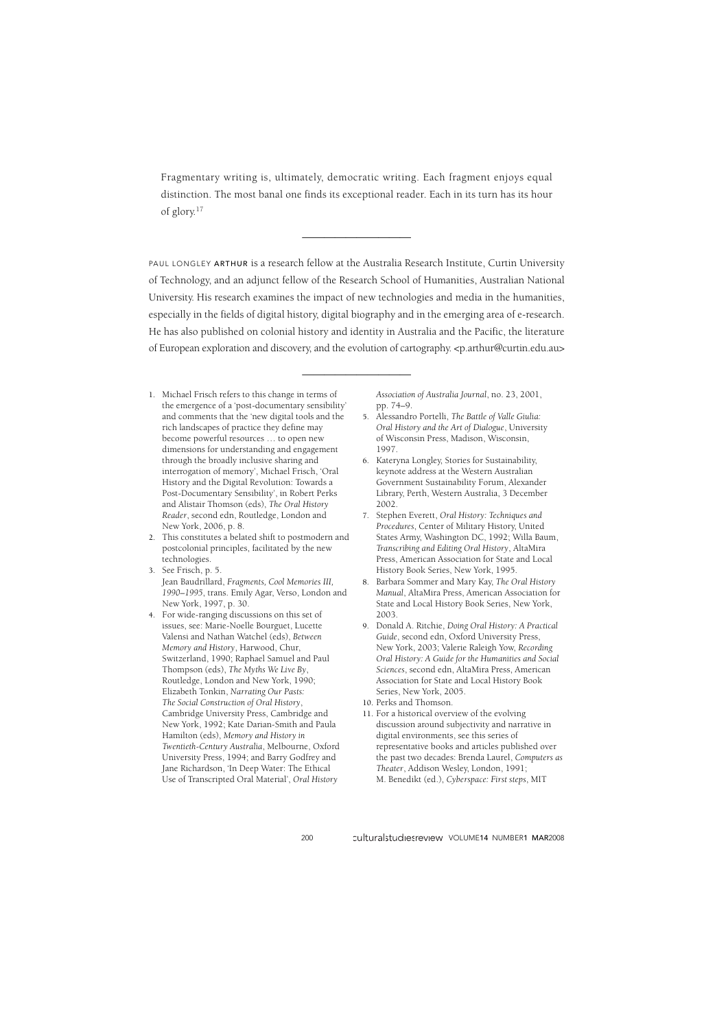Fragmentary writing is, ultimately, democratic writing. Each fragment enjoys equal distinction. The most banal one finds its exceptional reader. Each in its turn has its hour of glory.17

——————————————————

PAUL LONGLEY ARTHUR is a research fellow at the Australia Research Institute, Curtin University of Technology, and an adjunct fellow of the Research School of Humanities, Australian National University. His research examines the impact of new technologies and media in the humanities, especially in the fields of digital history, digital biography and in the emerging area of e-research. He has also published on colonial history and identity in Australia and the Pacific, the literature of European exploration and discovery, and the evolution of cartography. <p.arthur@curtin.edu.au>

—————————————————

- 1. Michael Frisch refers to this change in terms of the emergence of a 'post-documentary sensibility' and comments that the 'new digital tools and the rich landscapes of practice they define may become powerful resources … to open new dimensions for understanding and engagement through the broadly inclusive sharing and interrogation of memory', Michael Frisch, 'Oral History and the Digital Revolution: Towards a Post-Documentary Sensibility', in Robert Perks and Alistair Thomson (eds), *The Oral History Reader*, second edn, Routledge, London and New York, 2006, p. 8.
- 2. This constitutes a belated shift to postmodern and postcolonial principles, facilitated by the new technologies.
- 3. See Frisch, p. 5. Jean Baudrillard, *Fragments, Cool Memories III, 1990–1995*, trans. Emily Agar, Verso, London and New York, 1997, p. 30.
- 4. For wide-ranging discussions on this set of issues, see: Marie-Noelle Bourguet, Lucette Valensi and Nathan Watchel (eds), *Between Memory and History*, Harwood, Chur, Switzerland, 1990; Raphael Samuel and Paul Thompson (eds), *The Myths We Live By*, Routledge, London and New York, 1990; Elizabeth Tonkin, *Narrating Our Pasts: The Social Construction of Oral History*, Cambridge University Press, Cambridge and New York, 1992; Kate Darian-Smith and Paula Hamilton (eds), *Memory and History in Twentieth-Century Australia*, Melbourne, Oxford University Press, 1994; and Barry Godfrey and Jane Richardson, 'In Deep Water: The Ethical Use of Transcripted Oral Material', *Oral History*

*Association of Australia Journal*, no. 23, 2001, pp. 74–9.

- 5. Alessandro Portelli, *The Battle of Valle Giulia: Oral History and the Art of Dialogue*, University of Wisconsin Press, Madison, Wisconsin, 1997.
- 6. Kateryna Longley, Stories for Sustainability, keynote address at the Western Australian Government Sustainability Forum, Alexander Library, Perth, Western Australia, 3 December 2002.
- 7. Stephen Everett, *Oral History: Techniques and Procedures*, Center of Military History, United States Army, Washington DC, 1992; Willa Baum, *Transcribing and Editing Oral History*, AltaMira Press, American Association for State and Local History Book Series, New York, 1995.
- 8. Barbara Sommer and Mary Kay, *The Oral History Manual*, AltaMira Press, American Association for State and Local History Book Series, New York, 2003.
- 9. Donald A. Ritchie, *Doing Oral History: A Practical Guide*, second edn, Oxford University Press, New York, 2003; Valerie Raleigh Yow, *Recording Oral History: A Guide for the Humanities and Social Sciences*, second edn, AltaMira Press, American Association for State and Local History Book Series, New York, 2005.
- 10. Perks and Thomson.
- 11. For a historical overview of the evolving discussion around subjectivity and narrative in digital environments, see this series of representative books and articles published over the past two decades: Brenda Laurel, *Computers as Theater*, Addison Wesley, London, 1991; M. Benedikt (ed.), *Cyberspace: First steps*, MIT

200 Culturalstudiesreview VOLUME14 NUMBER1 MAR2008